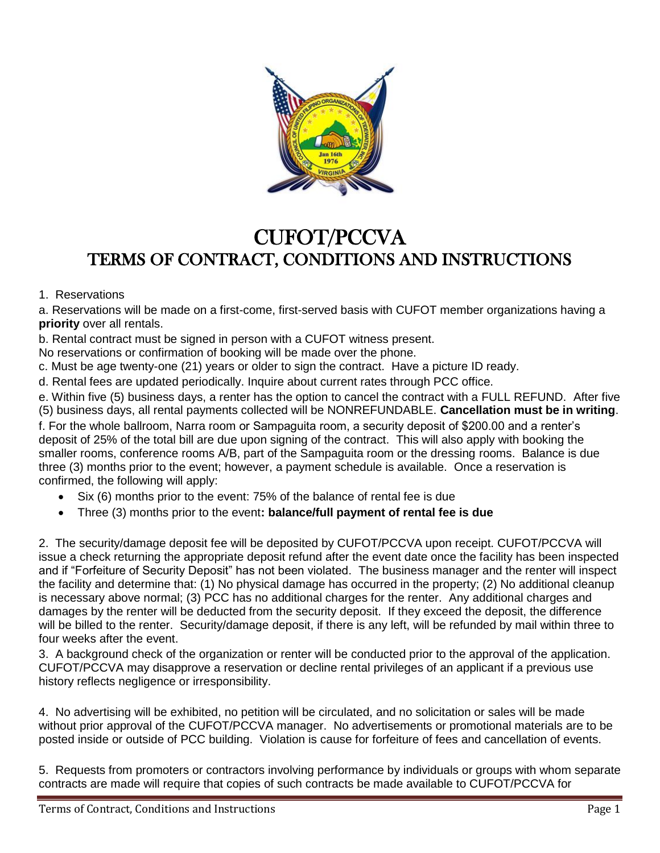

## CUFOT/PCCVA TERMS OF CONTRACT, CONDITIONS AND INSTRUCTIONS

## 1. Reservations

a. Reservations will be made on a first-come, first-served basis with CUFOT member organizations having a **priority** over all rentals.

b. Rental contract must be signed in person with a CUFOT witness present.

No reservations or confirmation of booking will be made over the phone.

c. Must be age twenty-one (21) years or older to sign the contract. Have a picture ID ready.

d. Rental fees are updated periodically. Inquire about current rates through PCC office.

e. Within five (5) business days, a renter has the option to cancel the contract with a FULL REFUND. After five (5) business days, all rental payments collected will be NONREFUNDABLE. **Cancellation must be in writing**. f. For the whole ballroom, Narra room or Sampaguita room, a security deposit of \$200.00 and a renter's deposit of 25% of the total bill are due upon signing of the contract. This will also apply with booking the smaller rooms, conference rooms A/B, part of the Sampaguita room or the dressing rooms. Balance is due three (3) months prior to the event; however, a payment schedule is available. Once a reservation is confirmed, the following will apply:

- Six (6) months prior to the event: 75% of the balance of rental fee is due
- Three (3) months prior to the event**: balance/full payment of rental fee is due**

2. The security/damage deposit fee will be deposited by CUFOT/PCCVA upon receipt. CUFOT/PCCVA will issue a check returning the appropriate deposit refund after the event date once the facility has been inspected and if "Forfeiture of Security Deposit" has not been violated. The business manager and the renter will inspect the facility and determine that: (1) No physical damage has occurred in the property; (2) No additional cleanup is necessary above normal; (3) PCC has no additional charges for the renter. Any additional charges and damages by the renter will be deducted from the security deposit. If they exceed the deposit, the difference will be billed to the renter. Security/damage deposit, if there is any left, will be refunded by mail within three to four weeks after the event.

3. A background check of the organization or renter will be conducted prior to the approval of the application. CUFOT/PCCVA may disapprove a reservation or decline rental privileges of an applicant if a previous use history reflects negligence or irresponsibility.

4. No advertising will be exhibited, no petition will be circulated, and no solicitation or sales will be made without prior approval of the CUFOT/PCCVA manager. No advertisements or promotional materials are to be posted inside or outside of PCC building. Violation is cause for forfeiture of fees and cancellation of events.

5. Requests from promoters or contractors involving performance by individuals or groups with whom separate contracts are made will require that copies of such contracts be made available to CUFOT/PCCVA for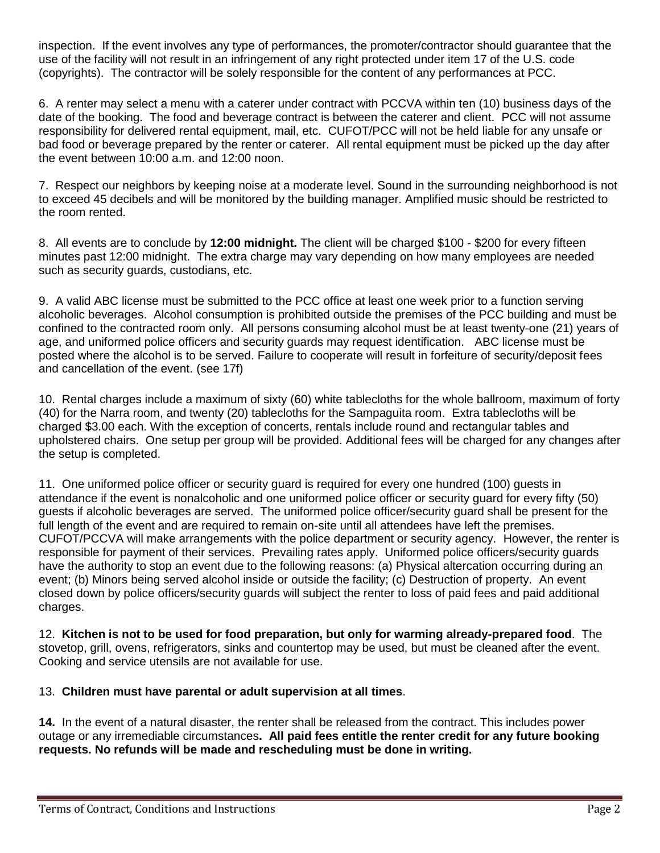inspection. If the event involves any type of performances, the promoter/contractor should guarantee that the use of the facility will not result in an infringement of any right protected under item 17 of the U.S. code (copyrights). The contractor will be solely responsible for the content of any performances at PCC.

6. A renter may select a menu with a caterer under contract with PCCVA within ten (10) business days of the date of the booking. The food and beverage contract is between the caterer and client. PCC will not assume responsibility for delivered rental equipment, mail, etc. CUFOT/PCC will not be held liable for any unsafe or bad food or beverage prepared by the renter or caterer. All rental equipment must be picked up the day after the event between 10:00 a.m. and 12:00 noon.

7. Respect our neighbors by keeping noise at a moderate level. Sound in the surrounding neighborhood is not to exceed 45 decibels and will be monitored by the building manager. Amplified music should be restricted to the room rented.

8. All events are to conclude by **12:00 midnight.** The client will be charged \$100 - \$200 for every fifteen minutes past 12:00 midnight. The extra charge may vary depending on how many employees are needed such as security guards, custodians, etc.

9. A valid ABC license must be submitted to the PCC office at least one week prior to a function serving alcoholic beverages. Alcohol consumption is prohibited outside the premises of the PCC building and must be confined to the contracted room only. All persons consuming alcohol must be at least twenty-one (21) years of age, and uniformed police officers and security guards may request identification. ABC license must be posted where the alcohol is to be served. Failure to cooperate will result in forfeiture of security/deposit fees and cancellation of the event. (see 17f)

10. Rental charges include a maximum of sixty (60) white tablecloths for the whole ballroom, maximum of forty (40) for the Narra room, and twenty (20) tablecloths for the Sampaguita room. Extra tablecloths will be charged \$3.00 each. With the exception of concerts, rentals include round and rectangular tables and upholstered chairs. One setup per group will be provided. Additional fees will be charged for any changes after the setup is completed.

11. One uniformed police officer or security guard is required for every one hundred (100) guests in attendance if the event is nonalcoholic and one uniformed police officer or security guard for every fifty (50) guests if alcoholic beverages are served. The uniformed police officer/security guard shall be present for the full length of the event and are required to remain on-site until all attendees have left the premises. CUFOT/PCCVA will make arrangements with the police department or security agency. However, the renter is responsible for payment of their services. Prevailing rates apply. Uniformed police officers/security guards have the authority to stop an event due to the following reasons: (a) Physical altercation occurring during an event; (b) Minors being served alcohol inside or outside the facility; (c) Destruction of property. An event closed down by police officers/security guards will subject the renter to loss of paid fees and paid additional charges.

12. **Kitchen is not to be used for food preparation, but only for warming already-prepared food**. The stovetop, grill, ovens, refrigerators, sinks and countertop may be used, but must be cleaned after the event. Cooking and service utensils are not available for use.

## 13. **Children must have parental or adult supervision at all times**.

**14.** In the event of a natural disaster, the renter shall be released from the contract. This includes power outage or any irremediable circumstances**. All paid fees entitle the renter credit for any future booking requests. No refunds will be made and rescheduling must be done in writing.**